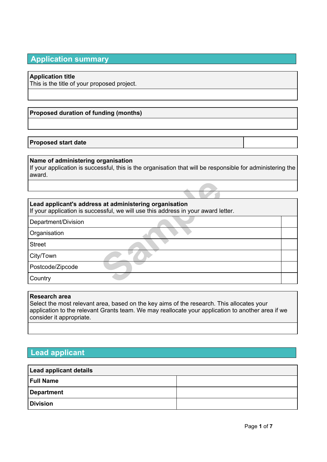# **Application summary**

## **Application title**

This is the title of your proposed project.

# **Proposed duration of funding (months)**

## **Proposed start date**

## **Name of administering organisation**

If your application is successful, this is the organisation that will be responsible for administering the award.

## **Lead applicant's address at administering organisation**

**Sample Standard Standard Standard Standard Standard Standard Standard Standard Standard Standard Standard Standard Standard Standard Standard Standard Standard Standard Standard Standard Standard Standard Standard Standar** If your application is successful, we will use this address in your award letter.

Department/Division

**Organisation** 

Street

City/Town

Postcode/Zipcode

**Country** 

### **Research area**

Select the most relevant area, based on the key aims of the research. This allocates your application to the relevant Grants team. We may reallocate your application to another area if we consider it appropriate.

# **Lead applicant**

| <b>Lead applicant details</b> |  |  |  |
|-------------------------------|--|--|--|
| <b>Full Name</b>              |  |  |  |
| Department                    |  |  |  |
| <b>Division</b>               |  |  |  |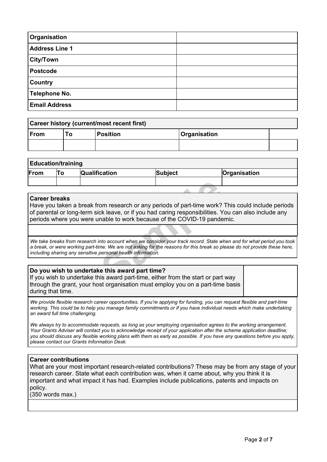| Organisation          |  |
|-----------------------|--|
| <b>Address Line 1</b> |  |
| ∫City/Town            |  |
| <b>Postcode</b>       |  |
| <b>Country</b>        |  |
| <b>Telephone No.</b>  |  |
| <b>Email Address</b>  |  |

| Career history (current/most recent first) |      |                 |              |  |
|--------------------------------------------|------|-----------------|--------------|--|
| ∣From                                      | To l | <b>Position</b> | Organisation |  |
|                                            |      |                 |              |  |

# **Education/training**

| .<br>$\sim$ |  |                      |         |              |
|-------------|--|----------------------|---------|--------------|
| From        |  | <b>Qualification</b> | Subject | Organisation |
|             |  |                      |         |              |

#### **Career breaks**

om research or any periods of part-time work?<br>
Ck leave, or if you had caring responsibilities. Y<br>
mable to work because of the COVID-19 pande<br>
nto account when we consider your track record. State w<br>
me. We are not asking Have you taken a break from research or any periods of part-time work? This could include periods of parental or long-term sick leave, or if you had caring responsibilities. You can also include any periods where you were unable to work because of the COVID-19 pandemic.

We take breaks from research into account when we consider your track record. State when and for what period you took a break, or were working part-time. We are not asking for the reasons for this break so please do not provide these here, *including sharing any sensitive personal health information.*

### **Do you wish to undertake this award part time?**

If you wish to undertake this award part-time, either from the start or part way through the grant, your host organisation must employ you on a part-time basis during that time.

We provide flexible research career opportunities. If you're applying for funding, you can request flexible and part-time working. This could be to help you manage family commitments or if you have individual needs which make undertaking *an award full time challenging.*

We always try to accommodate requests, as long as your employing organisation agrees to the working arrangement. Your Grants Adviser will contact you to acknowledge receipt of your application after the scheme application deadline; you should discuss any flexible working plans with them as early as possible. If you have any questions before you apply, *please contact our Grants Information Desk.*

### **Career contributions**

What are your most important research-related contributions? These may be from any stage of your research career. State what each contribution was, when it came about, why you think it is important and what impact it has had. Examples include publications, patents and impacts on policy.

(350 words max.)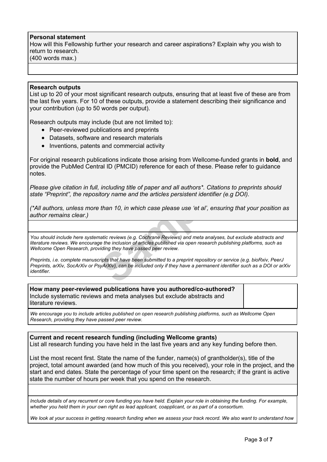### **Personal statement**

How will this Fellowship further your research and career aspirations? Explain why you wish to return to research. (400 words max.)

#### **Research outputs**

List up to 20 of your most significant research outputs, ensuring that at least five of these are from the last five years. For 10 of these outputs, provide a statement describing their significance and your contribution (up to 50 words per output).

Research outputs may include (but are not limited to):

- Peer-reviewed publications and preprints
- Datasets, software and research materials
- Inventions, patents and commercial activity

For original research publications indicate those arising from Wellcome-funded grants in **bold**, and provide the PubMed Central ID (PMCID) reference for each of these. Please refer to guidance notes.

*Please give citation in full, including title of paper and all authors\*. Citations to preprints should state "Preprint", the repository name and the articles persistent identifier (e.g DOI).*

(\*All authors, unless more than 10, in which case please use 'et al', ensuring that your position as *author remains clear.)*

including title of paper and all authors\*. Citation<br>tory name and the articles persistent identifier<br>than 10, in which case please use 'et al', ensu<br>attic reviews (e.g. Cochrane Reviews) and meta analyses<br>the the inclusion *You should include here systematic reviews (e.g. Cochrane Reviews) and meta analyses, but exclude abstracts and* literature reviews. We encourage the inclusion of articles published via open research publishing platforms, such as *Wellcome Open Research, providing they have passed peer review.*

Preprints, i.e. complete manuscripts that have been submitted to a preprint repository or service (e.g. bioRxiv, PeerJ Preprints, arXiv, SocArXiv or PsyArXiv), can be included only if they have a permanent identifier such as a DOI or arXiv *identifier.*

**How many peer-reviewed publications have you authored/co-authored?** Include systematic reviews and meta analyses but exclude abstracts and literature reviews.

*We encourage you to include articles published on open research publishing platforms, such as Wellcome Open Research, providing they have passed peer review.*

**Current and recent research funding (including Wellcome grants)** List all research funding you have held in the last five years and any key funding before then.

List the most recent first. State the name of the funder, name(s) of grantholder(s), title of the project, total amount awarded (and how much of this you received), your role in the project, and the start and end dates. State the percentage of your time spent on the research; if the grant is active state the number of hours per week that you spend on the research.

Include details of any recurrent or core funding you have held. Explain your role in obtaining the funding. For example, whether you held them in your own right as lead applicant, coapplicant, or as part of a consortium.

We look at your success in getting research funding when we assess your track record. We also want to understand how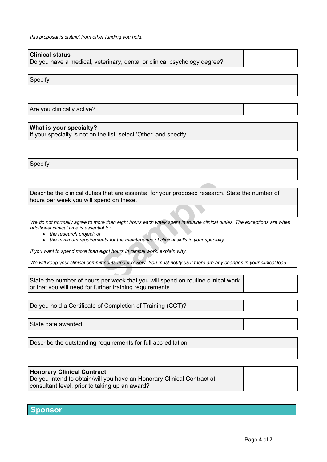*this proposal is distinct from other funding you hold.*

## **Clinical status**

Do you have a medical, veterinary, dental or clinical psychology degree?

Specify

Are you clinically active?

## **What is your specialty?**

If your specialty is not on the list, select 'Other' and specify.

Specify

**S** that are essential for your proposed research<br>
bend on these.<br>
ore than eight hours each week spent in routine clinical du<br>
ial to:<br>
r<br>
eight hours in clinical work, explain why.<br>
stitutents under review. You must noti Describe the clinical duties that are essential for your proposed research. State the number of hours per week you will spend on these.

We do not normally agree to more than eight hours each week spent in routine clinical duties. The exceptions are when *additional clinical time is essential to:*

*the research project; or*

*the minimum requirements for the maintenance of clinical skills in your specialty.*

*If you want to spend more than eight hours in clinical work, explain why.*

We will keep your clinical commitments under review. You must notify us if there are any changes in your clinical load.

State the number of hours per week that you will spend on routine clinical work or that you will need for further training requirements.

Do you hold a Certificate of Completion of Training (CCT)?

State date awarded

Describe the outstanding requirements for full accreditation

### **Honorary Clinical Contract**

Do you intend to obtain/will you have an Honorary Clinical Contract at consultant level, prior to taking up an award?

## **Sponsor**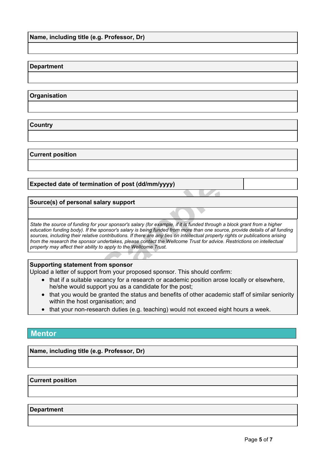## **Department**

## **Organisation**

**Country**

#### **Current position**

## **Expected date of termination of post (dd/mm/yyyy)**

## **Source(s) of personal salary support**

**Example 15 (dd/mm/yyyy)**<br> **Sampler of the University (for example, if it is funded through sponsor's salary is being funded from more than one sourcontributions. If there are any ties on intellectual property undertakes,** State the source of funding for your sponsor's salary (for example, if it is funded through a block grant from a higher education funding body). If the sponsor's salary is being funded from more than one source, provide details of all funding sources, including their relative contributions. If there are any ties on intellectual property rights or publications arising from the research the sponsor undertakes, please contact the Wellcome Trust for advice. Restrictions on intellectual *property may affect their ability to apply to the Wellcome Trust.*

### **Supporting statement from sponsor**

Upload a letter of support from your proposed sponsor. This should confirm:

- that if a suitable vacancy for a research or academic position arose locally or elsewhere, he/she would support you as a candidate for the post;
- that you would be granted the status and benefits of other academic staff of similar seniority within the host organisation; and
- that your non-research duties (e.g. teaching) would not exceed eight hours a week.

# **Mentor**

**Name, including title (e.g. Professor, Dr)**

**Current position**

#### **Department**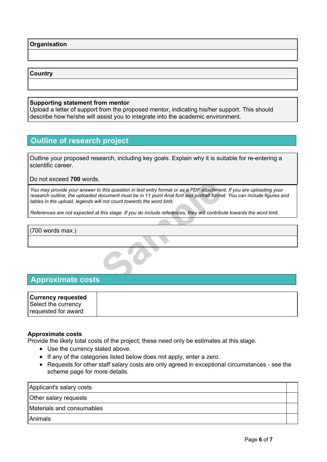**Organisation**

## **Country**

## **Supporting statement from mentor**

Upload a letter of support from the proposed mentor, indicating his/her support. This should describe how he/she will assist you to integrate into the academic environment.

# **Outline of research project**

Outline your proposed research, including key goals. Explain why it is suitable for re-entering a scientific career.

Do not exceed **700** words.

o this question in text entry format or as a PDF attachmer<br>document must be in 11 point Arial font and portrait formal<br>III not count towards the word limit.<br>this stage. If you do include references, they will contribute You may provide your answer to this question in text entry format or as a PDF attachment. If you are uploading your research outline, the uploaded document must be in 11 point Arial font and portrait format. You can include figures and *tables in the upload, legends will not count towards the word limit.*

References are not expected at this stage. If you do include references, they will contribute towards the word limit.

(700 words max.)

# **Approximate costs**

| ∣Currency requested |  |
|---------------------|--|
| Select the currency |  |
| requested for award |  |

### **Approximate costs**

Provide the likely total costs of the project; these need only be estimates at this stage.

- Use the currency stated above.
- If any of the categories listed below does not apply, enter a zero.
- Requests for other staff salary costs are only agreed in exceptional circumstances see the scheme page for more details.

Applicant's salary costs Other salary requests Materials and consumables Animals